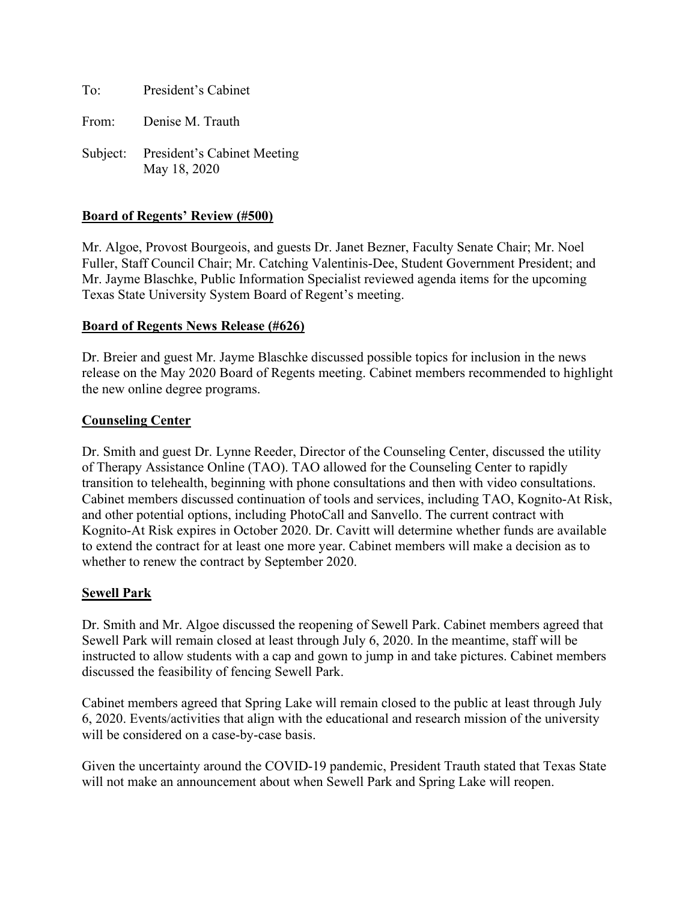To: President's Cabinet

From: Denise M. Trauth

Subject: President's Cabinet Meeting May 18, 2020

### **Board of Regents' Review (#500)**

Mr. Algoe, Provost Bourgeois, and guests Dr. Janet Bezner, Faculty Senate Chair; Mr. Noel Fuller, Staff Council Chair; Mr. Catching Valentinis-Dee, Student Government President; and Mr. Jayme Blaschke, Public Information Specialist reviewed agenda items for the upcoming Texas State University System Board of Regent's meeting.

#### **Board of Regents News Release (#626)**

Dr. Breier and guest Mr. Jayme Blaschke discussed possible topics for inclusion in the news release on the May 2020 Board of Regents meeting. Cabinet members recommended to highlight the new online degree programs.

### **Counseling Center**

Dr. Smith and guest Dr. Lynne Reeder, Director of the Counseling Center, discussed the utility of Therapy Assistance Online (TAO). TAO allowed for the Counseling Center to rapidly transition to telehealth, beginning with phone consultations and then with video consultations. Cabinet members discussed continuation of tools and services, including TAO, Kognito-At Risk, and other potential options, including PhotoCall and Sanvello. The current contract with Kognito-At Risk expires in October 2020. Dr. Cavitt will determine whether funds are available to extend the contract for at least one more year. Cabinet members will make a decision as to whether to renew the contract by September 2020.

### **Sewell Park**

Dr. Smith and Mr. Algoe discussed the reopening of Sewell Park. Cabinet members agreed that Sewell Park will remain closed at least through July 6, 2020. In the meantime, staff will be instructed to allow students with a cap and gown to jump in and take pictures. Cabinet members discussed the feasibility of fencing Sewell Park.

Cabinet members agreed that Spring Lake will remain closed to the public at least through July 6, 2020. Events/activities that align with the educational and research mission of the university will be considered on a case-by-case basis.

Given the uncertainty around the COVID-19 pandemic, President Trauth stated that Texas State will not make an announcement about when Sewell Park and Spring Lake will reopen.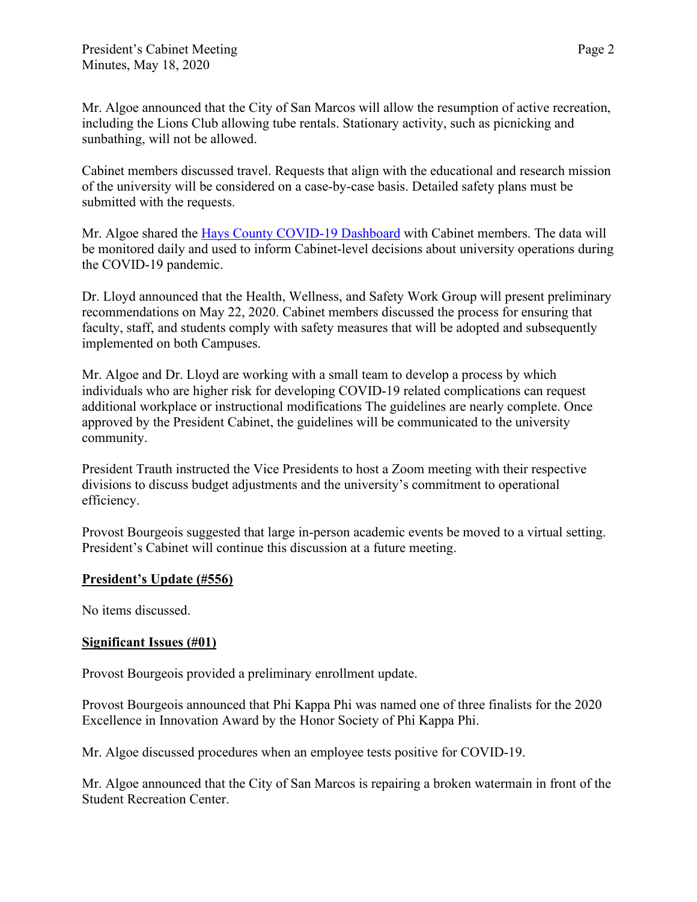Mr. Algoe announced that the City of San Marcos will allow the resumption of active recreation, including the Lions Club allowing tube rentals. Stationary activity, such as picnicking and sunbathing, will not be allowed.

Cabinet members discussed travel. Requests that align with the educational and research mission of the university will be considered on a case-by-case basis. Detailed safety plans must be submitted with the requests.

Mr. Algoe shared the [Hays County COVID-19 Dashboard](https://cosm.maps.arcgis.com/apps/opsdashboard/index.html#/b94aa5de450349c382fb59d4f57a6cc6) with Cabinet members. The data will be monitored daily and used to inform Cabinet-level decisions about university operations during the COVID-19 pandemic.

Dr. Lloyd announced that the Health, Wellness, and Safety Work Group will present preliminary recommendations on May 22, 2020. Cabinet members discussed the process for ensuring that faculty, staff, and students comply with safety measures that will be adopted and subsequently implemented on both Campuses.

Mr. Algoe and Dr. Lloyd are working with a small team to develop a process by which individuals who are higher risk for developing COVID-19 related complications can request additional workplace or instructional modifications The guidelines are nearly complete. Once approved by the President Cabinet, the guidelines will be communicated to the university community.

President Trauth instructed the Vice Presidents to host a Zoom meeting with their respective divisions to discuss budget adjustments and the university's commitment to operational efficiency.

Provost Bourgeois suggested that large in-person academic events be moved to a virtual setting. President's Cabinet will continue this discussion at a future meeting.

# **President's Update (#556)**

No items discussed.

# **Significant Issues (#01)**

Provost Bourgeois provided a preliminary enrollment update.

Provost Bourgeois announced that Phi Kappa Phi was named one of three finalists for the 2020 Excellence in Innovation Award by the Honor Society of Phi Kappa Phi.

Mr. Algoe discussed procedures when an employee tests positive for COVID-19.

Mr. Algoe announced that the City of San Marcos is repairing a broken watermain in front of the Student Recreation Center.